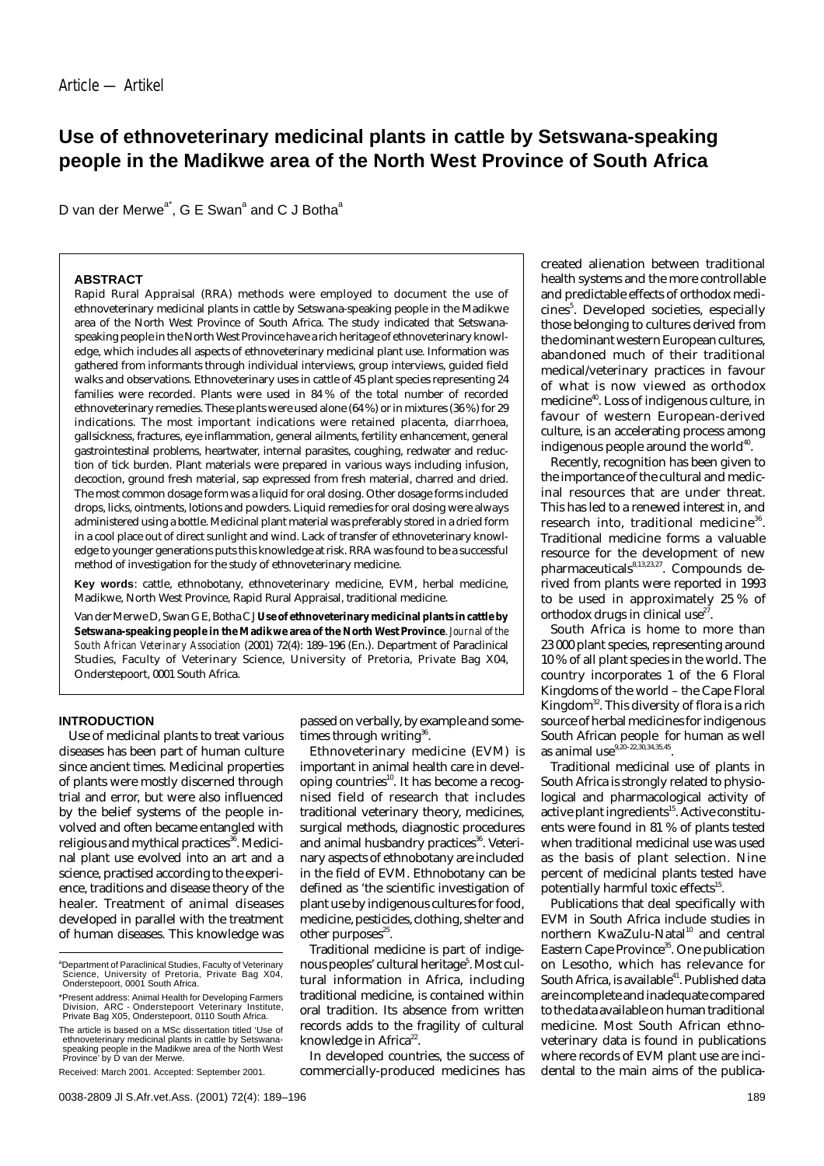# **Use of ethnoveterinary medicinal plants in cattle by Setswana-speaking people in the Madikwe area of the North West Province of South Africa**

D van der Merwe<sup>a\*</sup>, G E Swan<sup>a</sup> and C J Botha<sup>a</sup>

## **ABSTRACT**

Rapid Rural Appraisal (RRA) methods were employed to document the use of ethnoveterinary medicinal plants in cattle by Setswana-speaking people in the Madikwe area of the North West Province of South Africa. The study indicated that Setswanaspeaking people in the North West Province have a rich heritage of ethnoveterinary knowledge, which includes all aspects of ethnoveterinary medicinal plant use. Information was gathered from informants through individual interviews, group interviews, guided field walks and observations. Ethnoveterinary uses in cattle of 45 plant species representing 24 families were recorded. Plants were used in 84 % of the total number of recorded ethnoveterinary remedies. These plants were used alone (64 %) or in mixtures (36 %) for 29 indications. The most important indications were retained placenta, diarrhoea, gallsickness, fractures, eye inflammation, general ailments, fertility enhancement, general gastrointestinal problems, heartwater, internal parasites, coughing, redwater and reduction of tick burden. Plant materials were prepared in various ways including infusion, decoction, ground fresh material, sap expressed from fresh material, charred and dried. The most common dosage form was a liquid for oral dosing. Other dosage forms included drops, licks, ointments, lotions and powders. Liquid remedies for oral dosing were always administered using a bottle. Medicinal plant material was preferably stored in a dried form in a cool place out of direct sunlight and wind. Lack of transfer of ethnoveterinary knowledge to younger generations puts this knowledge at risk. RRA was found to be a successful method of investigation for the study of ethnoveterinary medicine.

**Key words**: cattle, ethnobotany, ethnoveterinary medicine, EVM, herbal medicine, Madikwe, North West Province, Rapid Rural Appraisal, traditional medicine.

Van der Merwe D, Swan G E, Botha C J**Use of ethnoveterinary medicinal plants in cattle by Setswana-speaking people in the Madikwe area of the North West Province**. *Journal of the South African Veterinary Association* (2001) 72(4): 189–196 (En.). Department of Paraclinical Studies, Faculty of Veterinary Science, University of Pretoria, Private Bag X04, Onderstepoort, 0001 South Africa.

# **INTRODUCTION**

Use of medicinal plants to treat various diseases has been part of human culture since ancient times. Medicinal properties of plants were mostly discerned through trial and error, but were also influenced by the belief systems of the people involved and often became entangled with religious and mythical practices<sup>36</sup>. Medicinal plant use evolved into an art and a science, practised according to the experience, traditions and disease theory of the healer. Treatment of animal diseases developed in parallel with the treatment of human diseases. This knowledge was

Received: March 2001. Accepted: September 2001.

passed on verbally, by example and sometimes through writing<sup>36</sup>.

Ethnoveterinary medicine (EVM) is important in animal health care in developing countries<sup>10</sup>. It has become a recognised field of research that includes traditional veterinary theory, medicines, surgical methods, diagnostic procedures and animal husbandry practices<sup>36</sup>. Veterinary aspects of ethnobotany are included in the field of EVM. Ethnobotany can be defined as 'the scientific investigation of plant use by indigenous cultures for food, medicine, pesticides, clothing, shelter and other purposes $25$ .

Traditional medicine is part of indigenous peoples' cultural heritage<sup>5</sup>. Most cultural information in Africa, including traditional medicine, is contained within oral tradition. Its absence from written records adds to the fragility of cultural knowledge in Africa<sup>22</sup>.

In developed countries, the success of commercially-produced medicines has created alienation between traditional health systems and the more controllable and predictable effects of orthodox medicines<sup>5</sup>. Developed societies, especially those belonging to cultures derived from the dominant western European cultures, abandoned much of their traditional medical/veterinary practices in favour of what is now viewed as orthodox medicine<sup>40</sup>. Loss of indigenous culture, in favour of western European-derived culture, is an accelerating process among indigenous people around the world<sup>40</sup>.

Recently, recognition has been given to the importance of the cultural and medicinal resources that are under threat. This has led to a renewed interest in, and research into, traditional medicine<sup>36</sup>. Traditional medicine forms a valuable resource for the development of new pharmaceuticals<sup>8,13,23,27</sup>. Compounds derived from plants were reported in 1993 to be used in approximately 25 % of orthodox drugs in clinical use<sup>2</sup>

South Africa is home to more than 23 000 plant species, representing around 10 % of all plant species in the world. The country incorporates 1 of the 6 Floral Kingdoms of the world – the Cape Floral Kingdom<sup>32</sup>. This diversity of flora is a rich source of herbal medicines for indigenous South African people for human as well as animal use<sup>9,20-22,30,34,35,45</sup>

Traditional medicinal use of plants in South Africa is strongly related to physiological and pharmacological activity of active plant ingredients<sup>15</sup>. Active constituents were found in 81 % of plants tested when traditional medicinal use was used as the basis of plant selection. Nine percent of medicinal plants tested have potentially harmful toxic effects<sup>15</sup>.

Publications that deal specifically with EVM in South Africa include studies in northern KwaZulu-Natal<sup>10</sup> and central Eastern Cape Province<sup>35</sup>. One publication on Lesotho, which has relevance for South Africa, is available<sup>41</sup>. Published data are incomplete and inadequate compared to the data available on human traditional medicine. Most South African ethnoveterinary data is found in publications where records of EVM plant use are incidental to the main aims of the publica-

<sup>&</sup>lt;sup>a</sup>Department of Paraclinical Studies, Faculty of Veterinary Science, University of Pretoria, Private Bag X04, Onderstepoort, 0001 South Africa.

<sup>\*</sup>Present address: Animal Health for Developing Farmers Division, ARC - Onderstepoort Veterinary Institute, Private Bag X05, Onderstepoort, 0110 South Africa.

The article is based on a MSc dissertation titled 'Use of ethnoveterinary medicinal plants in cattle by Setswana-speaking people in the Madikwe area of the North West Province' by D van der Merwe.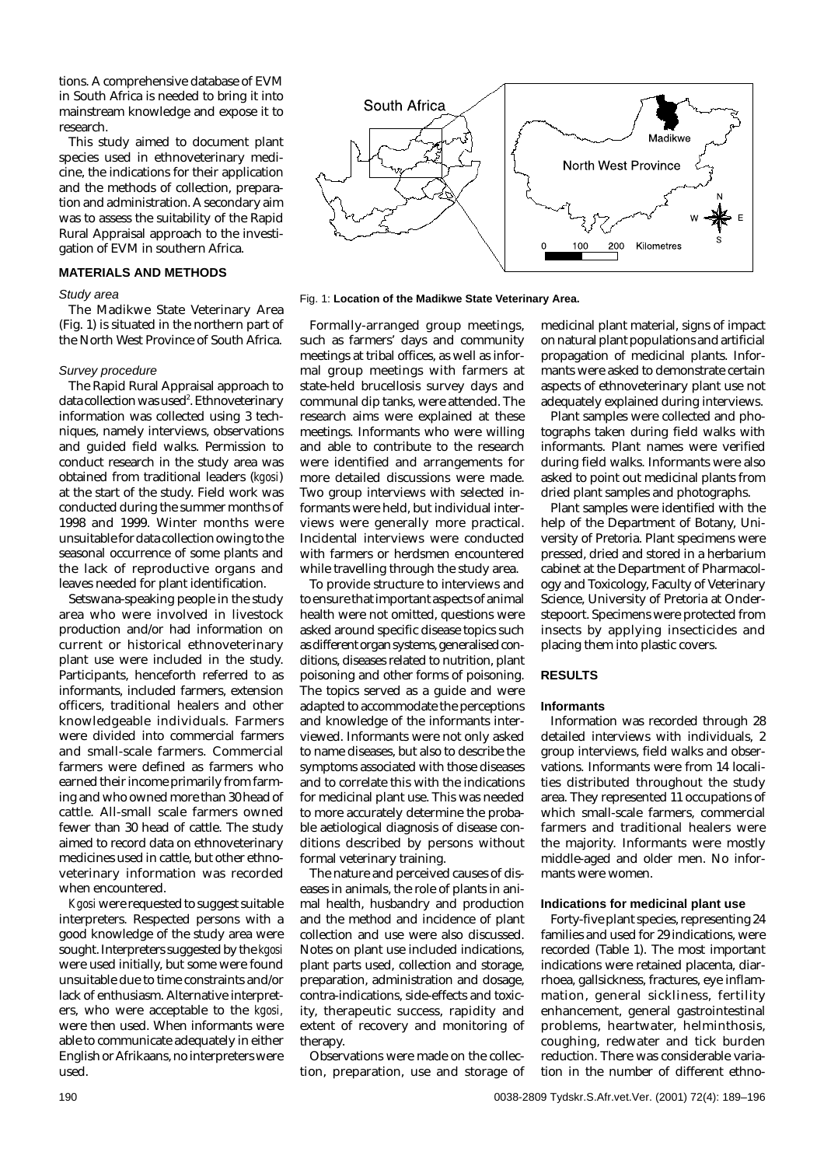tions. A comprehensive database of EVM in South Africa is needed to bring it into mainstream knowledge and expose it to research.

This study aimed to document plant species used in ethnoveterinary medicine, the indications for their application and the methods of collection, preparation and administration. A secondary aim was to assess the suitability of the Rapid Rural Appraisal approach to the investigation of EVM in southern Africa.

# **MATERIALS AND METHODS**

#### Study area

The Madikwe State Veterinary Area (Fig. 1) is situated in the northern part of the North West Province of South Africa.

# Survey procedure

The Rapid Rural Appraisal approach to data collection was used $^2$ . Ethnoveterinary information was collected using 3 techniques, namely interviews, observations and guided field walks. Permission to conduct research in the study area was obtained from traditional leaders (*kgosi*) at the start of the study. Field work was conducted during the summer months of 1998 and 1999. Winter months were unsuitable for data collection owing to the seasonal occurrence of some plants and the lack of reproductive organs and leaves needed for plant identification.

Setswana-speaking people in the study area who were involved in livestock production and/or had information on current or historical ethnoveterinary plant use were included in the study. Participants, henceforth referred to as informants, included farmers, extension officers, traditional healers and other knowledgeable individuals. Farmers were divided into commercial farmers and small-scale farmers. Commercial farmers were defined as farmers who earned their income primarily from farming and who owned more than 30 head of cattle. All-small scale farmers owned fewer than 30 head of cattle. The study aimed to record data on ethnoveterinary medicines used in cattle, but other ethnoveterinary information was recorded when encountered.

*Kgosi* were requested to suggest suitable interpreters. Respected persons with a good knowledge of the study area were sought. Interpreters suggested by the *kgosi* were used initially, but some were found unsuitable due to time constraints and/or lack of enthusiasm. Alternative interpreters, who were acceptable to the *kgosi,* were then used. When informants were able to communicate adequately in either English or Afrikaans, no interpreters were used.



Fig. 1: **Location of the Madikwe State Veterinary Area.**

Formally-arranged group meetings, such as farmers' days and community meetings at tribal offices, as well as informal group meetings with farmers at state-held brucellosis survey days and communal dip tanks, were attended. The research aims were explained at these meetings. Informants who were willing and able to contribute to the research were identified and arrangements for more detailed discussions were made. Two group interviews with selected informants were held, but individual interviews were generally more practical. Incidental interviews were conducted with farmers or herdsmen encountered while travelling through the study area.

To provide structure to interviews and to ensure that important aspects of animal health were not omitted, questions were asked around specific disease topics such as different organ systems, generalised conditions, diseases related to nutrition, plant poisoning and other forms of poisoning. The topics served as a guide and were adapted to accommodate the perceptions and knowledge of the informants interviewed. Informants were not only asked to name diseases, but also to describe the symptoms associated with those diseases and to correlate this with the indications for medicinal plant use. This was needed to more accurately determine the probable aetiological diagnosis of disease conditions described by persons without formal veterinary training.

The nature and perceived causes of diseases in animals, the role of plants in animal health, husbandry and production and the method and incidence of plant collection and use were also discussed. Notes on plant use included indications, plant parts used, collection and storage, preparation, administration and dosage, contra-indications, side-effects and toxicity, therapeutic success, rapidity and extent of recovery and monitoring of therapy

Observations were made on the collection, preparation, use and storage of

medicinal plant material, signs of impact on natural plant populations and artificial propagation of medicinal plants. Informants were asked to demonstrate certain aspects of ethnoveterinary plant use not adequately explained during interviews.

Plant samples were collected and photographs taken during field walks with informants. Plant names were verified during field walks. Informants were also asked to point out medicinal plants from dried plant samples and photographs.

Plant samples were identified with the help of the Department of Botany, University of Pretoria. Plant specimens were pressed, dried and stored in a herbarium cabinet at the Department of Pharmacology and Toxicology, Faculty of Veterinary Science, University of Pretoria at Onderstepoort. Specimens were protected from insects by applying insecticides and placing them into plastic covers.

# **RESULTS**

#### **Informants**

Information was recorded through 28 detailed interviews with individuals, 2 group interviews, field walks and observations. Informants were from 14 localities distributed throughout the study area. They represented 11 occupations of which small-scale farmers, commercial farmers and traditional healers were the majority. Informants were mostly middle-aged and older men. No informants were women.

#### **Indications for medicinal plant use**

Forty-five plant species, representing 24 families and used for 29 indications, were recorded (Table 1). The most important indications were retained placenta, diarrhoea, gallsickness, fractures, eye inflammation, general sickliness, fertility enhancement, general gastrointestinal problems, heartwater, helminthosis, coughing, redwater and tick burden reduction. There was considerable variation in the number of different ethno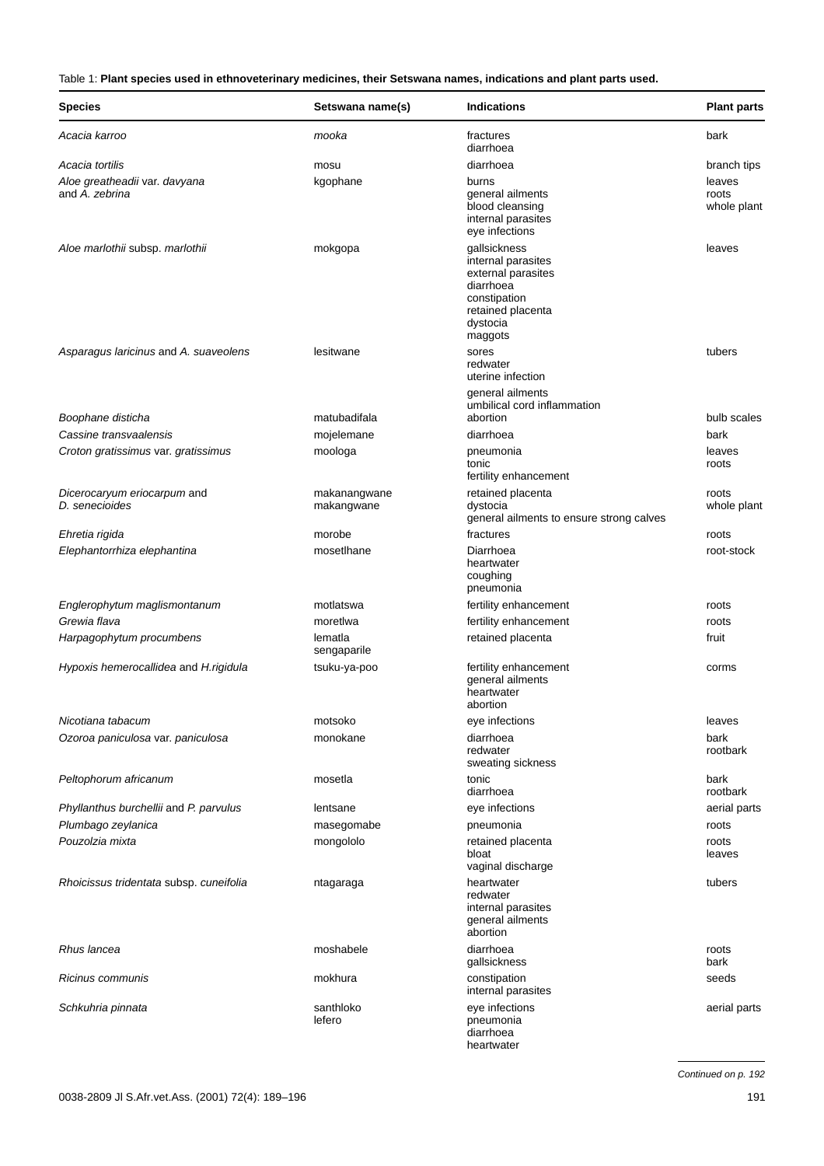Table 1: **Plant species used in ethnoveterinary medicines, their Setswana names, indications and plant parts used.**

| <b>Species</b>                                  | Setswana name(s)       | <b>Indications</b>                                                                                                                | <b>Plant parts</b>             |
|-------------------------------------------------|------------------------|-----------------------------------------------------------------------------------------------------------------------------------|--------------------------------|
| Acacia karroo                                   | mooka                  | fractures<br>diarrhoea                                                                                                            | bark                           |
| Acacia tortilis                                 | mosu                   | diarrhoea                                                                                                                         | branch tips                    |
| Aloe greatheadii var. davyana<br>and A. zebrina | kgophane               | burns<br>general ailments<br>blood cleansing<br>internal parasites<br>eye infections                                              | leaves<br>roots<br>whole plant |
| Aloe marlothii subsp. marlothii                 | mokgopa                | gallsickness<br>internal parasites<br>external parasites<br>diarrhoea<br>constipation<br>retained placenta<br>dystocia<br>maggots | leaves                         |
| Asparagus laricinus and A. suaveolens           | lesitwane              | sores<br>redwater<br>uterine infection<br>general ailments                                                                        | tubers                         |
|                                                 |                        | umbilical cord inflammation                                                                                                       |                                |
| Boophane disticha                               | matubadifala           | abortion                                                                                                                          | bulb scales                    |
| Cassine transvaalensis                          | mojelemane             | diarrhoea                                                                                                                         | bark                           |
| Croton gratissimus var. gratissimus             | moologa                | pneumonia<br>tonic<br>fertility enhancement                                                                                       | leaves<br>roots                |
| Dicerocaryum eriocarpum and                     | makanangwane           | retained placenta                                                                                                                 | roots                          |
| D. senecioides                                  | makangwane             | dystocia<br>general ailments to ensure strong calves                                                                              | whole plant                    |
| Ehretia rigida                                  | morobe                 | fractures                                                                                                                         | roots                          |
| Elephantorrhiza elephantina                     | mosetlhane             | Diarrhoea<br>heartwater<br>coughing<br>pneumonia                                                                                  | root-stock                     |
| Englerophytum maglismontanum                    | motlatswa              | fertility enhancement                                                                                                             | roots                          |
| Grewia flava                                    | moretlwa               | fertility enhancement                                                                                                             | roots                          |
| Harpagophytum procumbens                        | lematla<br>sengaparile | retained placenta                                                                                                                 | fruit                          |
| Hypoxis hemerocallidea and H.rigidula           | tsuku-ya-poo           | fertility enhancement<br>general ailments<br>heartwater<br>abortion                                                               | corms                          |
| Nicotiana tabacum                               | motsoko                | eye infections                                                                                                                    | leaves                         |
| Ozoroa paniculosa var. paniculosa               | monokane               | diarrhoea<br>redwater<br>sweating sickness                                                                                        | bark<br>rootbark               |
| Peltophorum africanum                           | mosetla                | tonic<br>diarrhoea                                                                                                                | bark<br>rootbark               |
| Phyllanthus burchellii and P. parvulus          | lentsane               | eye infections                                                                                                                    | aerial parts                   |
| Plumbago zeylanica                              | masegomabe             | pneumonia                                                                                                                         | roots                          |
| Pouzolzia mixta                                 | mongololo              | retained placenta<br>bloat<br>vaginal discharge                                                                                   | roots<br>leaves                |
| Rhoicissus tridentata subsp. cuneifolia         | ntagaraga              | heartwater<br>redwater<br>internal parasites<br>general ailments<br>abortion                                                      | tubers                         |
| Rhus lancea                                     | moshabele              | diarrhoea<br>gallsickness                                                                                                         | roots<br>bark                  |
| Ricinus communis                                | mokhura                | constipation<br>internal parasites                                                                                                | seeds                          |
| Schkuhria pinnata                               | santhloko<br>lefero    | eye infections<br>pneumonia<br>diarrhoea<br>heartwater                                                                            | aerial parts                   |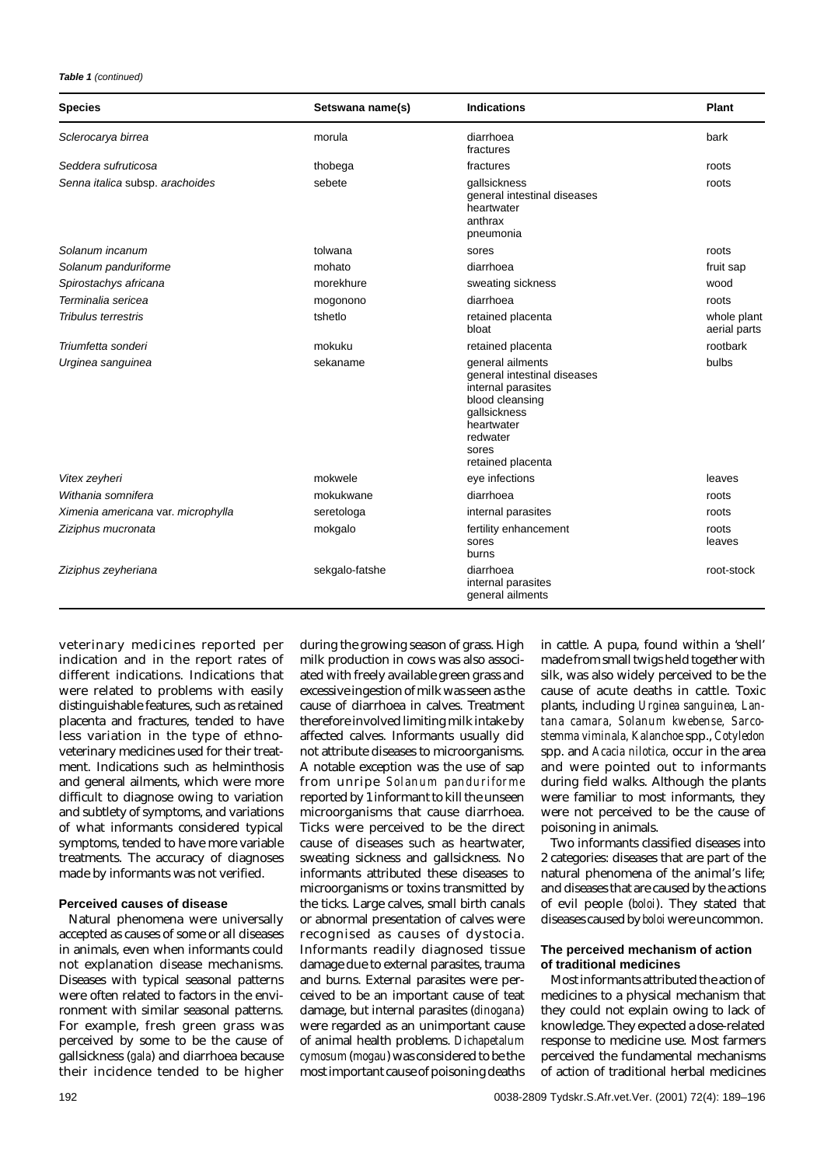**Table 1** (continued)

| <b>Species</b>                     | Setswana name(s) | <b>Indications</b>                                                                                                                                               | Plant                       |
|------------------------------------|------------------|------------------------------------------------------------------------------------------------------------------------------------------------------------------|-----------------------------|
| Sclerocarya birrea                 | morula           | diarrhoea<br>fractures                                                                                                                                           | bark                        |
| Seddera sufruticosa                | thobega          | fractures                                                                                                                                                        | roots                       |
| Senna italica subsp. arachoides    | sebete           | gallsickness<br>general intestinal diseases<br>heartwater<br>anthrax<br>pneumonia                                                                                | roots                       |
| Solanum incanum                    | tolwana          | sores                                                                                                                                                            | roots                       |
| Solanum panduriforme               | mohato           | diarrhoea                                                                                                                                                        | fruit sap                   |
| Spirostachys africana              | morekhure        | sweating sickness                                                                                                                                                | wood                        |
| Terminalia sericea                 | mogonono         | diarrhoea                                                                                                                                                        | roots                       |
| Tribulus terrestris                | tshetlo          | retained placenta<br>bloat                                                                                                                                       | whole plant<br>aerial parts |
| Triumfetta sonderi                 | mokuku           | retained placenta                                                                                                                                                | rootbark                    |
| Urginea sanguinea                  | sekaname         | general ailments<br>general intestinal diseases<br>internal parasites<br>blood cleansing<br>gallsickness<br>heartwater<br>redwater<br>sores<br>retained placenta | bulbs                       |
| Vitex zeyheri                      | mokwele          | eye infections                                                                                                                                                   | leaves                      |
| Withania somnifera                 | mokukwane        | diarrhoea                                                                                                                                                        | roots                       |
| Ximenia americana var. microphylla | seretologa       | internal parasites                                                                                                                                               | roots                       |
| Ziziphus mucronata                 | mokgalo          | fertility enhancement<br>sores<br>burns                                                                                                                          | roots<br>leaves             |
| Ziziphus zeyheriana                | sekgalo-fatshe   | diarrhoea<br>internal parasites<br>general ailments                                                                                                              | root-stock                  |

veterinary medicines reported per indication and in the report rates of different indications. Indications that were related to problems with easily distinguishable features, such as retained placenta and fractures, tended to have less variation in the type of ethnoveterinary medicines used for their treatment. Indications such as helminthosis and general ailments, which were more difficult to diagnose owing to variation and subtlety of symptoms, and variations of what informants considered typical symptoms, tended to have more variable treatments. The accuracy of diagnoses made by informants was not verified.

#### **Perceived causes of disease**

Natural phenomena were universally accepted as causes of some or all diseases in animals, even when informants could not explanation disease mechanisms. Diseases with typical seasonal patterns were often related to factors in the environment with similar seasonal patterns. For example, fresh green grass was perceived by some to be the cause of gallsickness (*gala*) and diarrhoea because their incidence tended to be higher during the growing season of grass. High milk production in cows was also associated with freely available green grass and excessive ingestion of milk was seen as the cause of diarrhoea in calves. Treatment therefore involved limiting milk intake by affected calves. Informants usually did not attribute diseases to microorganisms. A notable exception was the use of sap from unripe *Solanum panduriforme* reported by 1 informant to kill the unseen microorganisms that cause diarrhoea. Ticks were perceived to be the direct cause of diseases such as heartwater, sweating sickness and gallsickness. No informants attributed these diseases to microorganisms or toxins transmitted by the ticks. Large calves, small birth canals or abnormal presentation of calves were recognised as causes of dystocia. Informants readily diagnosed tissue damage due to external parasites, trauma and burns. External parasites were perceived to be an important cause of teat damage, but internal parasites (*dinogana*) were regarded as an unimportant cause of animal health problems. *Dichapetalum cymosum* (*mogau*) was considered to be the most important cause of poisoning deaths

in cattle. A pupa, found within a 'shell' made from small twigs held together with silk, was also widely perceived to be the cause of acute deaths in cattle. Toxic plants, including *Urginea sanguinea, Lantana camara, Solanum kwebense, Sarcostemma viminala, Kalanchoe* spp., *Cotyledon* spp. and *Acacia nilotica,* occur in the area and were pointed out to informants during field walks. Although the plants were familiar to most informants, they were not perceived to be the cause of poisoning in animals.

Two informants classified diseases into 2 categories: diseases that are part of the natural phenomena of the animal's life; and diseases that are caused by the actions of evil people (*boloi*). They stated that diseases caused by *boloi* were uncommon.

#### **The perceived mechanism of action of traditional medicines**

Most informants attributed the action of medicines to a physical mechanism that they could not explain owing to lack of knowledge. They expected a dose-related response to medicine use. Most farmers perceived the fundamental mechanisms of action of traditional herbal medicines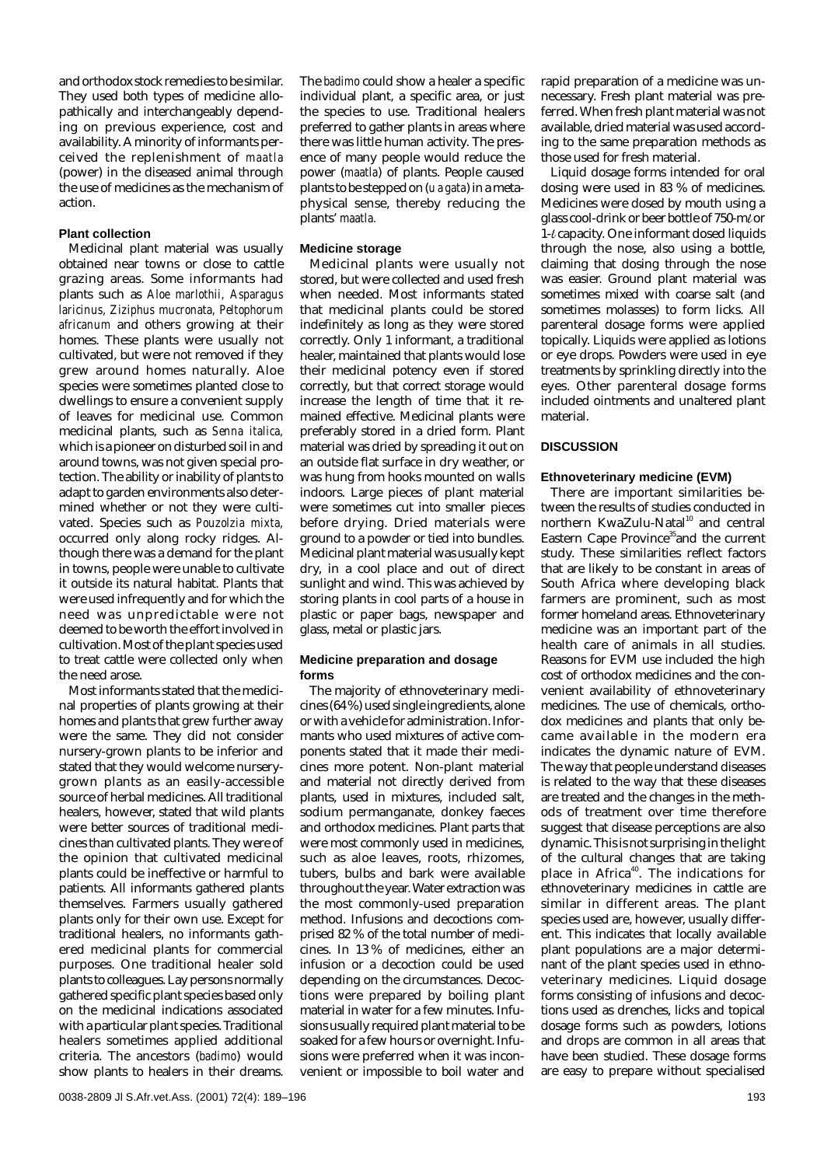and orthodox stock remedies to be similar. They used both types of medicine allopathically and interchangeably depending on previous experience, cost and availability. A minority of informants perceived the replenishment of *maatla* (power) in the diseased animal through the use of medicines as the mechanism of action.

# **Plant collection**

Medicinal plant material was usually obtained near towns or close to cattle grazing areas. Some informants had plants such as *Aloe marlothii, Asparagus laricinus, Ziziphus mucronata, Peltophorum africanum* and others growing at their homes. These plants were usually not cultivated, but were not removed if they grew around homes naturally. Aloe species were sometimes planted close to dwellings to ensure a convenient supply of leaves for medicinal use. Common medicinal plants, such as *Senna italica,* which is a pioneer on disturbed soil in and around towns, was not given special protection. The ability or inability of plants to adapt to garden environments also determined whether or not they were cultivated. Species such as *Pouzolzia mixta,* occurred only along rocky ridges. Although there was a demand for the plant in towns, people were unable to cultivate it outside its natural habitat. Plants that were used infrequently and for which the need was unpredictable were not deemed to be worth the effort involved in cultivation. Most of the plant species used to treat cattle were collected only when the need arose.

Most informants stated that the medicinal properties of plants growing at their homes and plants that grew further away were the same. They did not consider nursery-grown plants to be inferior and stated that they would welcome nurserygrown plants as an easily-accessible source of herbal medicines. All traditional healers, however, stated that wild plants were better sources of traditional medicines than cultivated plants. They were of the opinion that cultivated medicinal plants could be ineffective or harmful to patients. All informants gathered plants themselves. Farmers usually gathered plants only for their own use. Except for traditional healers, no informants gathered medicinal plants for commercial purposes. One traditional healer sold plants to colleagues. Lay persons normally gathered specific plant species based only on the medicinal indications associated with a particular plant species. Traditional healers sometimes applied additional criteria. The ancestors (*badimo*) would show plants to healers in their dreams.

The *badimo* could show a healer a specific individual plant, a specific area, or just the species to use. Traditional healers preferred to gather plants in areas where there was little human activity. The presence of many people would reduce the power (*maatla*) of plants. People caused plants to be stepped on (*u a gata*) in a metaphysical sense, thereby reducing the plants' *maatla.*

## **Medicine storage**

Medicinal plants were usually not stored, but were collected and used fresh when needed. Most informants stated that medicinal plants could be stored indefinitely as long as they were stored correctly. Only 1 informant, a traditional healer, maintained that plants would lose their medicinal potency even if stored correctly, but that correct storage would increase the length of time that it remained effective. Medicinal plants were preferably stored in a dried form. Plant material was dried by spreading it out on an outside flat surface in dry weather, or was hung from hooks mounted on walls indoors. Large pieces of plant material were sometimes cut into smaller pieces before drying. Dried materials were ground to a powder or tied into bundles. Medicinal plant material was usually kept dry, in a cool place and out of direct sunlight and wind. This was achieved by storing plants in cool parts of a house in plastic or paper bags, newspaper and glass, metal or plastic jars.

#### **Medicine preparation and dosage forms**

The majority of ethnoveterinary medicines (64 %) used single ingredients, alone or with a vehicle for administration. Informants who used mixtures of active components stated that it made their medicines more potent. Non-plant material and material not directly derived from plants, used in mixtures, included salt, sodium permanganate, donkey faeces and orthodox medicines. Plant parts that were most commonly used in medicines, such as aloe leaves, roots, rhizomes, tubers, bulbs and bark were available throughout the year. Water extraction was the most commonly-used preparation method. Infusions and decoctions comprised 82 % of the total number of medicines. In 13 % of medicines, either an infusion or a decoction could be used depending on the circumstances. Decoctions were prepared by boiling plant material in water for a few minutes. Infusions usually required plant material to be soaked for a few hours or overnight. Infusions were preferred when it was inconvenient or impossible to boil water and rapid preparation of a medicine was unnecessary. Fresh plant material was preferred. When fresh plant material was not available, dried material was used according to the same preparation methods as those used for fresh material.

Liquid dosage forms intended for oral dosing were used in 83 % of medicines. Medicines were dosed by mouth using a glass cool-drink or beer bottle of 750-m/or  $1-t$  capacity. One informant dosed liquids through the nose, also using a bottle, claiming that dosing through the nose was easier. Ground plant material was sometimes mixed with coarse salt (and sometimes molasses) to form licks. All parenteral dosage forms were applied topically. Liquids were applied as lotions or eye drops. Powders were used in eye treatments by sprinkling directly into the eyes. Other parenteral dosage forms included ointments and unaltered plant material.

# **DISCUSSION**

#### **Ethnoveterinary medicine (EVM)**

There are important similarities between the results of studies conducted in northern KwaZulu-Natal<sup>10</sup> and central Eastern Cape Province<sup>35</sup>and the current study. These similarities reflect factors that are likely to be constant in areas of South Africa where developing black farmers are prominent, such as most former homeland areas. Ethnoveterinary medicine was an important part of the health care of animals in all studies. Reasons for EVM use included the high cost of orthodox medicines and the convenient availability of ethnoveterinary medicines. The use of chemicals, orthodox medicines and plants that only became available in the modern era indicates the dynamic nature of EVM. The way that people understand diseases is related to the way that these diseases are treated and the changes in the methods of treatment over time therefore suggest that disease perceptions are also dynamic. This is not surprising in the light of the cultural changes that are taking place in Africa<sup>40</sup>. The indications for ethnoveterinary medicines in cattle are similar in different areas. The plant species used are, however, usually different. This indicates that locally available plant populations are a major determinant of the plant species used in ethnoveterinary medicines. Liquid dosage forms consisting of infusions and decoctions used as drenches, licks and topical dosage forms such as powders, lotions and drops are common in all areas that have been studied. These dosage forms are easy to prepare without specialised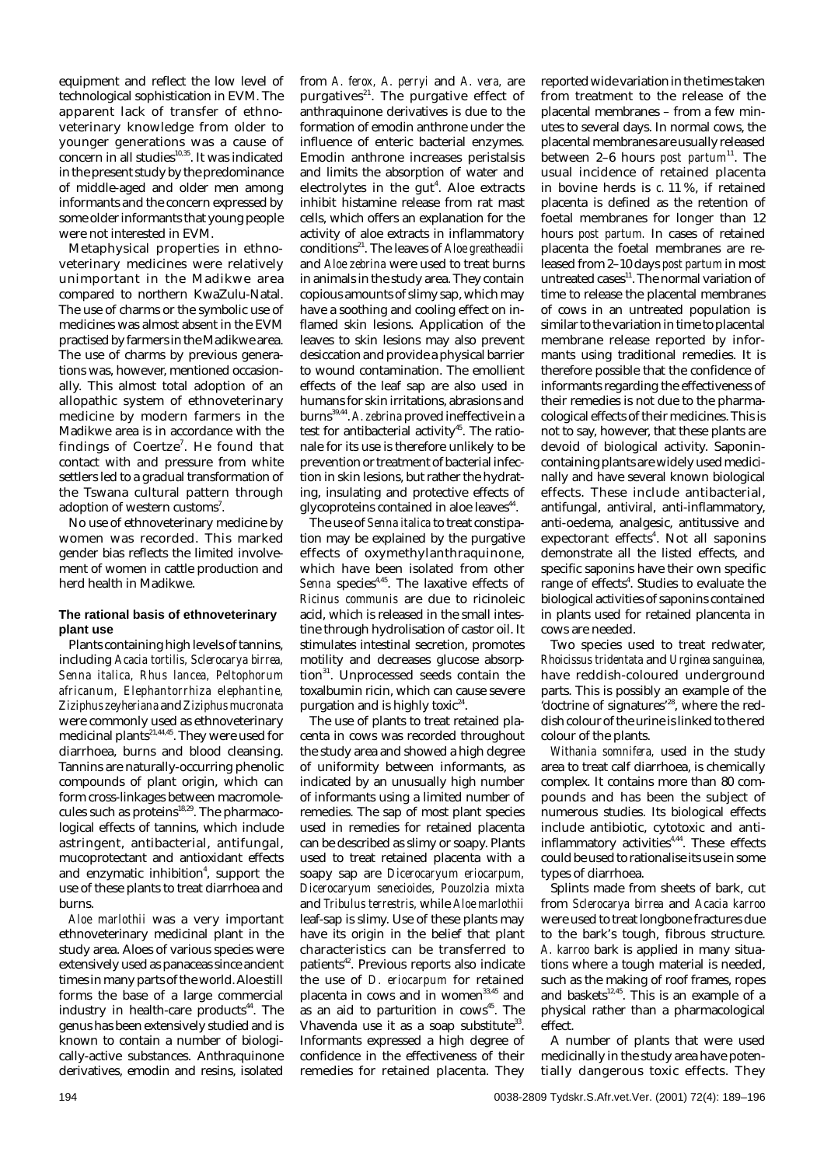equipment and reflect the low level of technological sophistication in EVM. The apparent lack of transfer of ethnoveterinary knowledge from older to younger generations was a cause of concern in all studies<sup>10,35</sup>. It was indicated in the present study by the predominance of middle-aged and older men among informants and the concern expressed by some older informants that young people were not interested in EVM.

Metaphysical properties in ethnoveterinary medicines were relatively unimportant in the Madikwe area compared to northern KwaZulu-Natal. The use of charms or the symbolic use of medicines was almost absent in the EVM practised by farmers in the Madikwe area. The use of charms by previous generations was, however, mentioned occasionally. This almost total adoption of an allopathic system of ethnoveterinary medicine by modern farmers in the Madikwe area is in accordance with the findings of Coertze $^7$ . He found that contact with and pressure from white settlers led to a gradual transformation of the Tswana cultural pattern through adoption of western customs $^7$ .

No use of ethnoveterinary medicine by women was recorded. This marked gender bias reflects the limited involvement of women in cattle production and herd health in Madikwe.

# **The rational basis of ethnoveterinary plant use**

Plants containing high levels of tannins, including *Acacia tortilis, Sclerocarya birrea, Senna italica, Rhus lancea, Peltophorum africanum, Elephantorrhiza elephantine, Ziziphus zeyheriana* and*Ziziphus mucronata* were commonly used as ethnoveterinary medicinal plants $21,44,45$ . They were used for diarrhoea, burns and blood cleansing. Tannins are naturally-occurring phenolic compounds of plant origin, which can form cross-linkages between macromolecules such as proteins $18,29$ . The pharmacological effects of tannins, which include astringent, antibacterial, antifungal, mucoprotectant and antioxidant effects and enzymatic inhibition<sup>4</sup>, support the use of these plants to treat diarrhoea and burns.

*Aloe marlothii* was a very important ethnoveterinary medicinal plant in the study area. Aloes of various species were extensively used as panaceas since ancient times in many parts of the world. Aloe still forms the base of a large commercial industry in health-care products<sup>44</sup>. The genus has been extensively studied and is known to contain a number of biologically-active substances. Anthraquinone derivatives, emodin and resins, isolated from *A. ferox, A. perryi* and *A. vera,* are purgatives<sup>21</sup>. The purgative effect of anthraquinone derivatives is due to the formation of emodin anthrone under the influence of enteric bacterial enzymes. Emodin anthrone increases peristalsis and limits the absorption of water and electrolytes in the gut<sup>4</sup>. Aloe extracts inhibit histamine release from rat mast cells, which offers an explanation for the activity of aloe extracts in inflammatory conditions21. The leaves of *Aloe greatheadii* and *Aloe zebrina* were used to treat burns in animals in the study area. They contain copious amounts of slimy sap, which may have a soothing and cooling effect on inflamed skin lesions. Application of the leaves to skin lesions may also prevent desiccation and provide a physical barrier to wound contamination. The emollient effects of the leaf sap are also used in humans for skin irritations, abrasions and burns39,44.*A. zebrina* proved ineffective in a test for antibacterial activity<sup>45</sup>. The rationale for its use is therefore unlikely to be prevention or treatment of bacterial infection in skin lesions, but rather the hydrating, insulating and protective effects of glycoproteins contained in aloe leaves<sup>44</sup>.

The use of *Senna italica* to treat constipation may be explained by the purgative effects of oxymethylanthraquinone, which have been isolated from other Senna species<sup>4,45</sup>. The laxative effects of *Ricinus communis* are due to ricinoleic acid, which is released in the small intestine through hydrolisation of castor oil. It stimulates intestinal secretion, promotes motility and decreases glucose absorption31. Unprocessed seeds contain the toxalbumin ricin, which can cause severe purgation and is highly toxic<sup>24</sup>.

The use of plants to treat retained placenta in cows was recorded throughout the study area and showed a high degree of uniformity between informants, as indicated by an unusually high number of informants using a limited number of remedies. The sap of most plant species used in remedies for retained placenta can be described as slimy or soapy. Plants used to treat retained placenta with a soapy sap are *Dicerocaryum eriocarpum, Dicerocaryum senecioides, Pouzolzia mixta* and *Tribulus terrestris,* while *Aloe marlothii* leaf-sap is slimy. Use of these plants may have its origin in the belief that plant characteristics can be transferred to patients<sup>42</sup>. Previous reports also indicate the use of *D. eriocarpum* for retained placenta in cows and in women $33,45$  and as an aid to parturition in cows<sup>45</sup>. The Vhavenda use it as a soap substitute<sup>33</sup>. Informants expressed a high degree of confidence in the effectiveness of their remedies for retained placenta. They

reported wide variation in the times taken from treatment to the release of the placental membranes – from a few minutes to several days. In normal cows, the placental membranes are usually released between 2–6 hours *post partum*<sup>11</sup>. The usual incidence of retained placenta in bovine herds is *c.* 11 %, if retained placenta is defined as the retention of foetal membranes for longer than 12 hours *post partum.* In cases of retained placenta the foetal membranes are released from 2–10 days *post partum* in most untreated cases<sup>11</sup>. The normal variation of time to release the placental membranes of cows in an untreated population is similar to the variation in time to placental membrane release reported by informants using traditional remedies. It is therefore possible that the confidence of informants regarding the effectiveness of their remedies is not due to the pharmacological effects of their medicines. This is not to say, however, that these plants are devoid of biological activity. Saponincontaining plants are widely used medicinally and have several known biological effects. These include antibacterial, antifungal, antiviral, anti-inflammatory, anti-oedema, analgesic, antitussive and expectorant effects<sup>4</sup>. Not all saponins demonstrate all the listed effects, and specific saponins have their own specific range of effects<sup>4</sup>. Studies to evaluate the biological activities of saponins contained in plants used for retained plancenta in cows are needed.

Two species used to treat redwater, *Rhoicissus tridentata* and *Urginea sanguinea,* have reddish-coloured underground parts. This is possibly an example of the 'doctrine of signatures'28, where the reddish colour of the urine is linked to the red colour of the plants.

*Withania somnifera,* used in the study area to treat calf diarrhoea, is chemically complex. It contains more than 80 compounds and has been the subject of numerous studies. Its biological effects include antibiotic, cytotoxic and antiinflammatory activities<sup>4,44</sup>. These effects could be used to rationalise its use in some types of diarrhoea.

Splints made from sheets of bark, cut from *Sclerocarya birrea* and *Acacia karroo* were used to treat longbone fractures due to the bark's tough, fibrous structure. *A. karroo* bark is applied in many situations where a tough material is needed, such as the making of roof frames, ropes and baskets $12,45$ . This is an example of a physical rather than a pharmacological effect.

A number of plants that were used medicinally in the study area have potentially dangerous toxic effects. They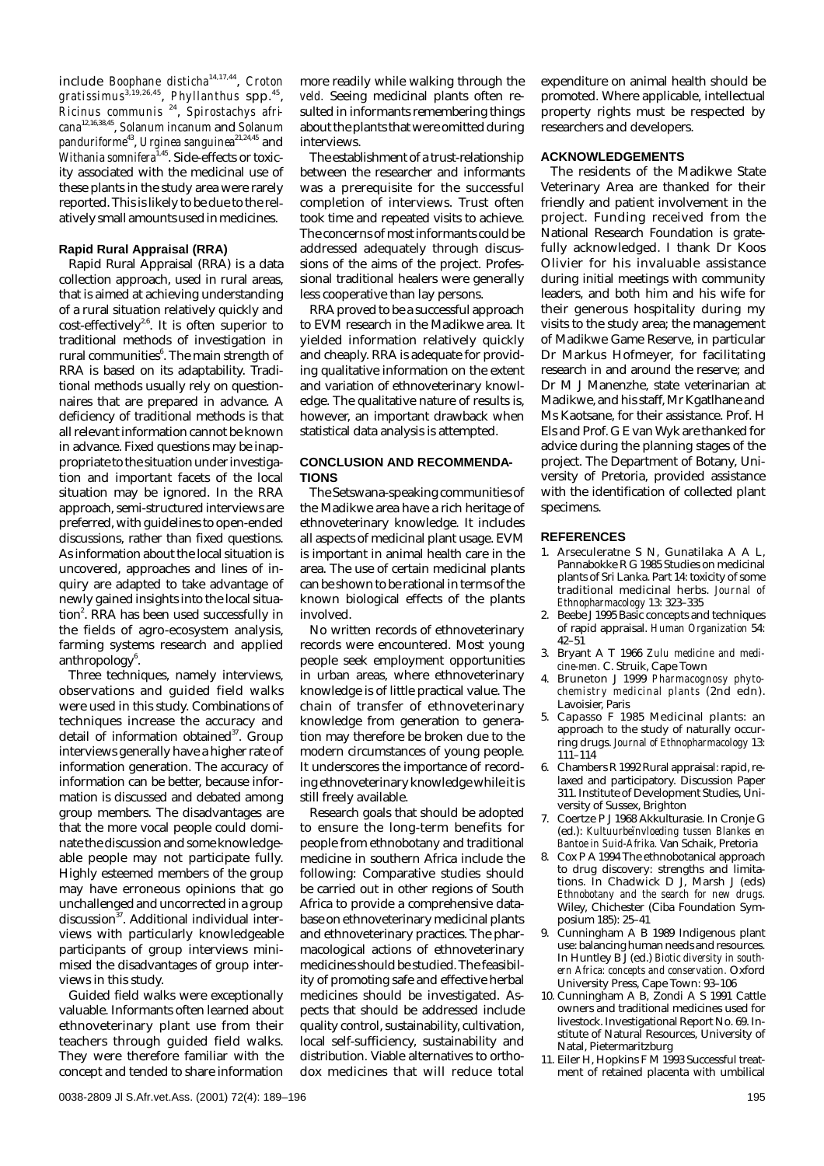include *Boophane disticha*14,17,44, *Croton gratissimus*3,19,26,45, *Phyllanthus* spp.45, *Ricinus communis* 24, *Spirostachys africana*12,16,38,45, *Solanum incanum* and *Solanum panduriforme*43, *Urginea sanguinea*21,24,45 and *Withania somnifera*1,45. Side-effects or toxicity associated with the medicinal use of these plants in the study area were rarely reported. This is likely to be due to the relatively small amounts used in medicines.

# **Rapid Rural Appraisal (RRA)**

Rapid Rural Appraisal (RRA) is a data collection approach, used in rural areas, that is aimed at achieving understanding of a rural situation relatively quickly and  $cost\text{-}effectively<sup>2,6</sup>$ . It is often superior to traditional methods of investigation in rural communities $^{\rm 6}$ . The main strength of RRA is based on its adaptability. Traditional methods usually rely on questionnaires that are prepared in advance. A deficiency of traditional methods is that all relevant information cannot be known in advance. Fixed questions may be inappropriate to the situation under investigation and important facets of the local situation may be ignored. In the RRA approach, semi-structured interviews are preferred, with guidelines to open-ended discussions, rather than fixed questions. As information about the local situation is uncovered, approaches and lines of inquiry are adapted to take advantage of newly gained insights into the local situation<sup>2</sup>. RRA has been used successfully in the fields of agro-ecosystem analysis, farming systems research and applied anthropology<sup>6</sup>.

Three techniques, namely interviews, observations and guided field walks were used in this study. Combinations of techniques increase the accuracy and detail of information obtained<sup>37</sup>. Group interviews generally have a higher rate of information generation. The accuracy of information can be better, because information is discussed and debated among group members. The disadvantages are that the more vocal people could dominate the discussion and some knowledgeable people may not participate fully. Highly esteemed members of the group may have erroneous opinions that go unchallenged and uncorrected in a group discussion<sup>37</sup>. Additional individual interviews with particularly knowledgeable participants of group interviews minimised the disadvantages of group interviews in this study.

Guided field walks were exceptionally valuable. Informants often learned about ethnoveterinary plant use from their teachers through guided field walks. They were therefore familiar with the concept and tended to share information more readily while walking through the *veld.* Seeing medicinal plants often resulted in informants remembering things about the plants that were omitted during interviews.

The establishment of a trust-relationship between the researcher and informants was a prerequisite for the successful completion of interviews. Trust often took time and repeated visits to achieve. The concerns of most informants could be addressed adequately through discussions of the aims of the project. Professional traditional healers were generally less cooperative than lay persons.

RRA proved to be a successful approach to EVM research in the Madikwe area. It yielded information relatively quickly and cheaply. RRA is adequate for providing qualitative information on the extent and variation of ethnoveterinary knowledge. The qualitative nature of results is, however, an important drawback when statistical data analysis is attempted.

## **CONCLUSION AND RECOMMENDA-TIONS**

The Setswana-speaking communities of the Madikwe area have a rich heritage of ethnoveterinary knowledge. It includes all aspects of medicinal plant usage. EVM is important in animal health care in the area. The use of certain medicinal plants can be shown to be rational in terms of the known biological effects of the plants involved.

No written records of ethnoveterinary records were encountered. Most young people seek employment opportunities in urban areas, where ethnoveterinary knowledge is of little practical value. The chain of transfer of ethnoveterinary knowledge from generation to generation may therefore be broken due to the modern circumstances of young people. It underscores the importance of recording ethnoveterinary knowledge while it is still freely available.

Research goals that should be adopted to ensure the long-term benefits for people from ethnobotany and traditional medicine in southern Africa include the following: Comparative studies should be carried out in other regions of South Africa to provide a comprehensive database on ethnoveterinary medicinal plants and ethnoveterinary practices. The pharmacological actions of ethnoveterinary medicines should be studied. The feasibility of promoting safe and effective herbal medicines should be investigated. Aspects that should be addressed include quality control, sustainability, cultivation, local self-sufficiency, sustainability and distribution. Viable alternatives to orthodox medicines that will reduce total

expenditure on animal health should be promoted. Where applicable, intellectual property rights must be respected by researchers and developers.

#### **ACKNOWLEDGEMENTS**

The residents of the Madikwe State Veterinary Area are thanked for their friendly and patient involvement in the project. Funding received from the National Research Foundation is gratefully acknowledged. I thank Dr Koos Olivier for his invaluable assistance during initial meetings with community leaders, and both him and his wife for their generous hospitality during my visits to the study area; the management of Madikwe Game Reserve, in particular Dr Markus Hofmeyer, for facilitating research in and around the reserve; and Dr M J Manenzhe, state veterinarian at Madikwe, and his staff, Mr Kgatlhane and Ms Kaotsane, for their assistance. Prof. H Els and Prof. G E van Wyk are thanked for advice during the planning stages of the project. The Department of Botany, University of Pretoria, provided assistance with the identification of collected plant specimens.

# **REFERENCES**

- 1. Arseculeratne S N, Gunatilaka A A L, Pannabokke R G 1985 Studies on medicinal plants of Sri Lanka. Part 14: toxicity of some traditional medicinal herbs. *Journal of Ethnopharmacology* 13: 323–335
- 2. Beebe J 1995 Basic concepts and techniques of rapid appraisal. *Human Organization* 54: 42–51
- 3. Bryant A T 1966 *Zulu medicine and medicine-men.* C. Struik, Cape Town
- 4. Bruneton J 1999 *Pharmacognosy phytochemistry medicinal plants* (2nd edn). Lavoisier, Paris
- 5. Capasso F 1985 Medicinal plants: an approach to the study of naturally occurring drugs. *Journal of Ethnopharmacology* 13: 111–114
- 6. Chambers R 1992 Rural appraisal: rapid, relaxed and participatory. Discussion Paper 311. Institute of Development Studies, University of Sussex, Brighton
- 7. Coertze P J 1968 Akkulturasie. In Cronje G (ed.): *Kultuurbeïnvloeding tussen Blankes en Bantoe in Suid-Afrika.* Van Schaik, Pretoria
- 8. Cox P A 1994 The ethnobotanical approach to drug discovery: strengths and limitations. In Chadwick D J, Marsh J (eds) *Ethnobotany and the search for new drugs.* Wiley, Chichester (Ciba Foundation Symposium 185): 25–41
- 9. Cunningham A B 1989 Indigenous plant use: balancing human needs and resources. In Huntley B J (ed.) *Biotic diversity in southern Africa: concepts and conservation.* Oxford University Press, Cape Town: 93–106
- 10. Cunningham A B, Zondi A S 1991 Cattle owners and traditional medicines used for livestock. Investigational Report No. 69. Institute of Natural Resources, University of Natal, Pietermaritzburg
- 11. Eiler H, Hopkins F M 1993 Successful treatment of retained placenta with umbilical